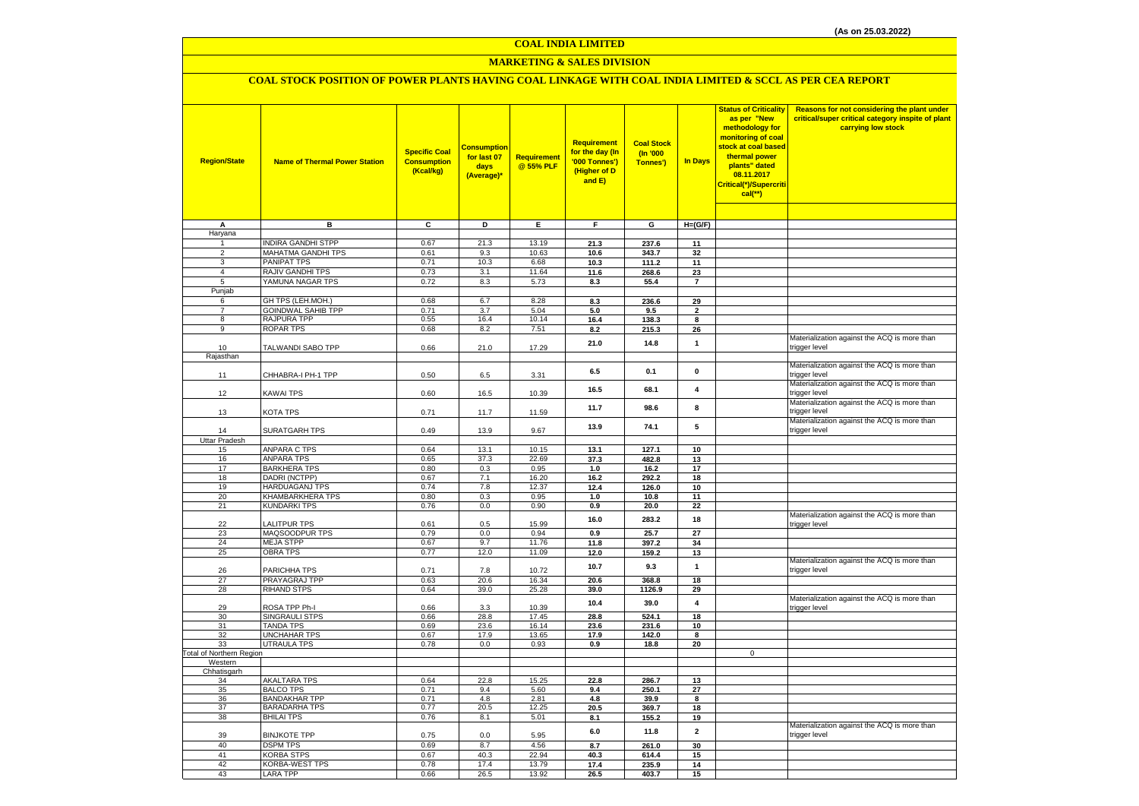#### **COAL INDIA LIMITED**

## **MARKETING & SALES DIVISION**

## **COAL STOCK POSITION OF POWER PLANTS HAVING COAL LINKAGE WITH COAL INDIA LIMITED & SCCL AS PER CEA REPORT**

| <b>Region/State</b>                   | <b>Name of Thermal Power Station</b>         | <b>Specific Coal</b><br><b>Consumption</b><br>(Kcal/kg) | <b>Consumption</b><br>for last 07<br>days<br>(Average)* | Requirement<br>@ 55% PLF | Requirement<br>for the day (In<br>'000 Tonnes')<br>(Higher of D<br>and E) | <b>Coal Stock</b><br>(In '000<br>Tonnes') | <b>In Days</b>  | <b>Status of Criticality</b><br>as per "New<br>methodology for<br>monitoring of coal<br>stock at coal based<br>thermal power<br>plants" dated<br>08.11.2017<br>Critical(*)/Supercriti<br>$cal$ (**) | Reasons for not considering the plant under<br>critical/super critical category inspite of plant<br>carrying low stock |
|---------------------------------------|----------------------------------------------|---------------------------------------------------------|---------------------------------------------------------|--------------------------|---------------------------------------------------------------------------|-------------------------------------------|-----------------|-----------------------------------------------------------------------------------------------------------------------------------------------------------------------------------------------------|------------------------------------------------------------------------------------------------------------------------|
|                                       |                                              |                                                         |                                                         |                          |                                                                           |                                           |                 |                                                                                                                                                                                                     |                                                                                                                        |
| Α                                     | в                                            | $\overline{c}$                                          | Þ                                                       | Ε                        | F                                                                         | G                                         | $H=(G/F)$       |                                                                                                                                                                                                     |                                                                                                                        |
| Haryana                               | <b>INDIRA GANDHI STPP</b>                    | 0.67                                                    |                                                         |                          |                                                                           |                                           |                 |                                                                                                                                                                                                     |                                                                                                                        |
| $\mathbf{1}$<br>$\overline{2}$        | MAHATMA GANDHI TPS                           | 0.61                                                    | 21.3<br>9.3                                             | 13.19<br>10.63           | 21.3<br>10.6                                                              | 237.6<br>343.7                            | 11<br>32        |                                                                                                                                                                                                     |                                                                                                                        |
| 3                                     | <b>PANIPAT TPS</b>                           | 0.71                                                    | 10.3                                                    | 6.68                     | 10.3                                                                      | 111.2                                     | 11              |                                                                                                                                                                                                     |                                                                                                                        |
| $\overline{4}$                        | RAJIV GANDHI TPS                             | 0.73                                                    | 3.1                                                     | 11.64                    | 11.6                                                                      | 268.6                                     | 23              |                                                                                                                                                                                                     |                                                                                                                        |
| 5                                     | YAMUNA NAGAR TPS                             | 0.72                                                    | 8.3                                                     | 5.73                     | 8.3                                                                       | 55.4                                      | $\overline{7}$  |                                                                                                                                                                                                     |                                                                                                                        |
| Punjab                                |                                              |                                                         |                                                         |                          |                                                                           |                                           |                 |                                                                                                                                                                                                     |                                                                                                                        |
| 6                                     | GH TPS (LEH.MOH.)                            | 0.68                                                    | 6.7                                                     | 8.28                     | 8.3                                                                       | 236.6                                     | 29              |                                                                                                                                                                                                     |                                                                                                                        |
| $\overline{7}$                        | <b>GOINDWAL SAHIB TPP</b>                    | 0.71                                                    | 3.7                                                     | 5.04                     | 5.0                                                                       | 9.5                                       | $\overline{2}$  |                                                                                                                                                                                                     |                                                                                                                        |
| 8<br>9                                | <b>RAJPURA TPP</b><br><b>ROPAR TPS</b>       | 0.55<br>0.68                                            | 16.4<br>8.2                                             | 10.14                    | 16.4                                                                      | 138.3                                     | 8               |                                                                                                                                                                                                     |                                                                                                                        |
|                                       |                                              |                                                         |                                                         | 7.51                     | 8.2                                                                       | 215.3                                     | 26              |                                                                                                                                                                                                     | Materialization against the ACQ is more than                                                                           |
| 10                                    | TALWANDI SABO TPP                            | 0.66                                                    | 21.0                                                    | 17.29                    | 21.0                                                                      | 14.8                                      | $\mathbf{1}$    |                                                                                                                                                                                                     | trigger level                                                                                                          |
| Rajasthan                             |                                              |                                                         |                                                         |                          |                                                                           |                                           |                 |                                                                                                                                                                                                     |                                                                                                                        |
| 11                                    | CHHABRA-I PH-1 TPP                           | 0.50                                                    | 6.5                                                     | 3.31                     | 6.5                                                                       | 0.1                                       | $\pmb{0}$       |                                                                                                                                                                                                     | Materialization against the ACQ is more than<br>trigger level                                                          |
| 12                                    | <b>KAWAI TPS</b>                             | 0.60                                                    | 16.5                                                    | 10.39                    | 16.5                                                                      | 68.1                                      | 4               |                                                                                                                                                                                                     | Materialization against the ACQ is more than<br>trigger level                                                          |
| 13                                    | <b>KOTA TPS</b>                              | 0.71                                                    | 11.7                                                    | 11.59                    | 11.7                                                                      | 98.6                                      | 8               |                                                                                                                                                                                                     | Materialization against the ACQ is more than<br>trigger level                                                          |
| 14                                    | SURATGARH TPS                                | 0.49                                                    | 13.9                                                    | 9.67                     | 13.9                                                                      | 74.1                                      | 5               |                                                                                                                                                                                                     | Materialization against the ACQ is more than<br>trigger level                                                          |
| <b>Uttar Pradesh</b><br>15            | <b>ANPARA C TPS</b>                          | 0.64                                                    | 13.1                                                    | 10.15                    | 13.1                                                                      | 127.1                                     | 10              |                                                                                                                                                                                                     |                                                                                                                        |
| 16                                    | <b>ANPARA TPS</b>                            | 0.65                                                    | 37.3                                                    | 22.69                    | 37.3                                                                      | 482.8                                     | 13              |                                                                                                                                                                                                     |                                                                                                                        |
| 17                                    | <b>BARKHERA TPS</b>                          | 0.80                                                    | 0.3                                                     | 0.95                     | 1.0                                                                       | 16.2                                      | 17              |                                                                                                                                                                                                     |                                                                                                                        |
| 18                                    | DADRI (NCTPP)                                | 0.67                                                    | 7.1                                                     | 16.20                    | 16.2                                                                      | 292.2                                     | 18              |                                                                                                                                                                                                     |                                                                                                                        |
| 19                                    | <b>HARDUAGANJ TPS</b>                        | 0.74                                                    | 7.8                                                     | 12.37                    | 12.4                                                                      | 126.0                                     | 10              |                                                                                                                                                                                                     |                                                                                                                        |
| 20                                    | KHAMBARKHERA TPS                             | 0.80                                                    | 0.3                                                     | 0.95                     | 1.0                                                                       | 10.8                                      | 11              |                                                                                                                                                                                                     |                                                                                                                        |
| 21                                    | <b>KUNDARKI TPS</b>                          | 0.76                                                    | 0.0                                                     | 0.90                     | 0.9                                                                       | 20.0                                      | 22              |                                                                                                                                                                                                     | Materialization against the ACQ is more than                                                                           |
| 22                                    | <b>ALITPUR TPS</b>                           | 0.61                                                    | 0.5                                                     | 15.99                    | 16.0                                                                      | 283.2                                     | 18              |                                                                                                                                                                                                     | trigger level                                                                                                          |
| 23                                    | MAQSOODPUR TPS                               | 0.79                                                    | 0.0                                                     | 0.94                     | 0.9                                                                       | 25.7                                      | 27              |                                                                                                                                                                                                     |                                                                                                                        |
| 24                                    | <b>MEJA STPP</b>                             | 0.67                                                    | 9.7                                                     | 11.76                    | 11.8                                                                      | 397.2                                     | 34              |                                                                                                                                                                                                     |                                                                                                                        |
| 25                                    | <b>OBRA TPS</b>                              | 0.77                                                    | 12.0                                                    | 11.09                    | 12.0                                                                      | 159.2                                     | 13              |                                                                                                                                                                                                     |                                                                                                                        |
|                                       |                                              |                                                         |                                                         |                          | 10.7                                                                      | 9.3                                       | $\mathbf{1}$    |                                                                                                                                                                                                     | Materialization against the ACQ is more than                                                                           |
| 26<br>27                              | PARICHHA TPS<br>PRAYAGRAJ TPP                | 0.71<br>0.63                                            | 7.8<br>20.6                                             | 10.72<br>16.34           | 20.6                                                                      | 368.8                                     | 18              |                                                                                                                                                                                                     | trigger level                                                                                                          |
| 28                                    | <b>RIHAND STPS</b>                           | 0.64                                                    | 39.0                                                    | 25.28                    | 39.0                                                                      | 1126.9                                    | 29              |                                                                                                                                                                                                     |                                                                                                                        |
| 29                                    | ROSA TPP Ph-I                                | 0.66                                                    | 3.3                                                     | 10.39                    | 10.4                                                                      | 39.0                                      | 4               |                                                                                                                                                                                                     | Materialization against the ACQ is more than<br>trigger level                                                          |
| 30                                    | SINGRAULI STPS                               | 0.66                                                    | 28.8                                                    | 17.45                    | 28.8                                                                      | 524.1                                     | 18              |                                                                                                                                                                                                     |                                                                                                                        |
| 31                                    | <b>TANDA TPS</b>                             | 0.69                                                    | 23.6                                                    | 16.14                    | 23.6                                                                      | 231.6                                     | 10              |                                                                                                                                                                                                     |                                                                                                                        |
| 32                                    | <b>UNCHAHAR TPS</b><br><b>UTRAULA TPS</b>    | 0.67                                                    | 17.9                                                    | 13.65                    | 17.9                                                                      | 142.0                                     | 8               |                                                                                                                                                                                                     |                                                                                                                        |
| 33<br><b>Total of Northern Region</b> |                                              | 0.78                                                    | 0.0                                                     | 0.93                     | 0.9                                                                       | 18.8                                      | 20              | $\mathbf 0$                                                                                                                                                                                         |                                                                                                                        |
| Western                               |                                              |                                                         |                                                         |                          |                                                                           |                                           |                 |                                                                                                                                                                                                     |                                                                                                                        |
| Chhatisgarh                           |                                              |                                                         |                                                         |                          |                                                                           |                                           |                 |                                                                                                                                                                                                     |                                                                                                                        |
| 34                                    | <b>AKALTARA TPS</b>                          | 0.64                                                    | 22.8                                                    | 15.25                    | 22.8                                                                      | 286.7                                     | 13              |                                                                                                                                                                                                     |                                                                                                                        |
| 35                                    | <b>BALCO TPS</b>                             | 0.71                                                    | 9.4                                                     | 5.60                     | 9.4                                                                       | 250.1                                     | $\overline{27}$ |                                                                                                                                                                                                     |                                                                                                                        |
| 36<br>37                              | <b>BANDAKHAR TPP</b><br><b>BARADARHA TPS</b> | 0.71<br>0.77                                            | 4.8<br>20.5                                             | 2.81<br>12.25            | 4.8                                                                       | 39.9                                      | 8               |                                                                                                                                                                                                     |                                                                                                                        |
| 38                                    | <b>BHILAI TPS</b>                            | 0.76                                                    | 8.1                                                     | 5.01                     | 20.5<br>8.1                                                               | 369.7<br>155.2                            | 18<br>19        |                                                                                                                                                                                                     |                                                                                                                        |
|                                       |                                              |                                                         |                                                         |                          |                                                                           |                                           |                 |                                                                                                                                                                                                     | Materialization against the ACQ is more than                                                                           |
| 39                                    | <b>BINJKOTE TPP</b>                          | 0.75                                                    | 0.0                                                     | 5.95                     | 6.0                                                                       | 11.8                                      | $\overline{2}$  |                                                                                                                                                                                                     | trigger level                                                                                                          |
| 40                                    | <b>DSPM TPS</b>                              | 0.69                                                    | 8.7                                                     | 4.56                     | 8.7                                                                       | 261.0                                     | 30              |                                                                                                                                                                                                     |                                                                                                                        |
| 41                                    | <b>KORBA STPS</b>                            | 0.67                                                    | 40.3                                                    | 22.94                    | 40.3                                                                      | 614.4                                     | 15              |                                                                                                                                                                                                     |                                                                                                                        |
| 42                                    | <b>KORBA-WEST TPS</b>                        | 0.78                                                    | 17.4                                                    | 13.79                    | 17.4                                                                      | 235.9                                     | 14              |                                                                                                                                                                                                     |                                                                                                                        |
| 43                                    | <b>LARA TPP</b>                              | 0.66                                                    | 26.5                                                    | 13.92                    | 26.5                                                                      | 403.7                                     | 15              |                                                                                                                                                                                                     |                                                                                                                        |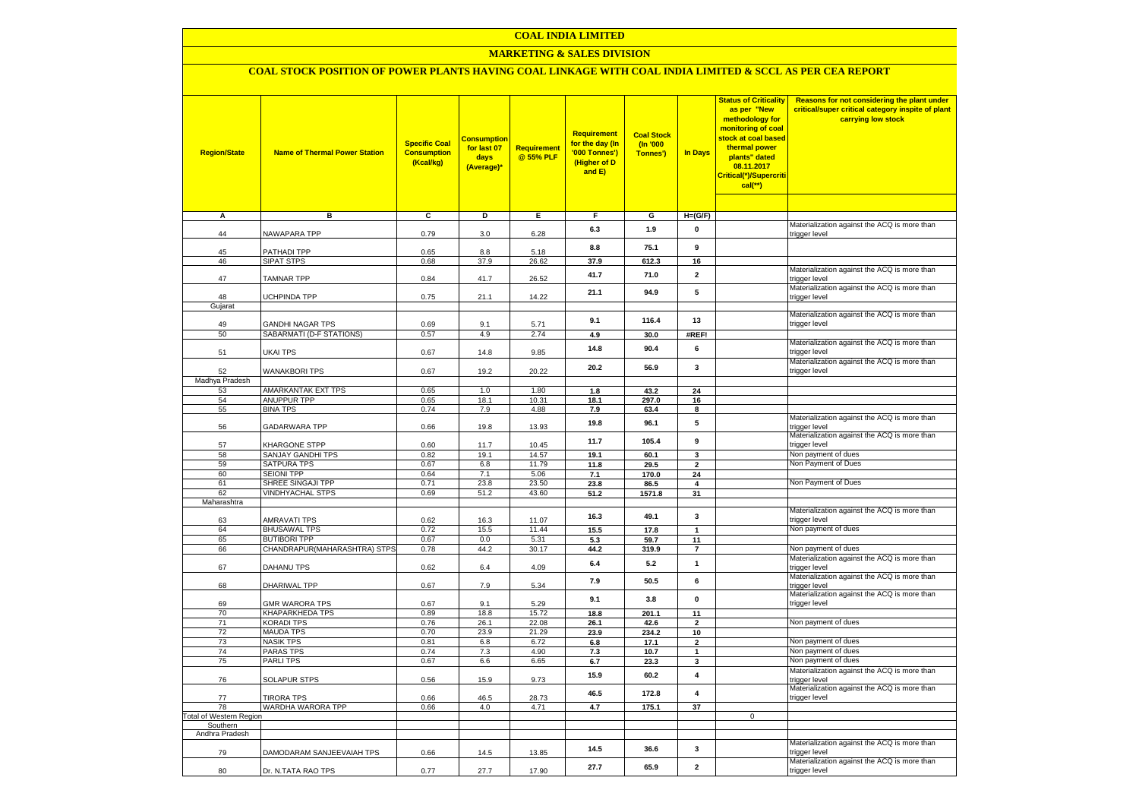#### **COAL INDIA LIMITED**

## **MARKETING & SALES DIVISION**

## **COAL STOCK POSITION OF POWER PLANTS HAVING COAL LINKAGE WITH COAL INDIA LIMITED & SCCL AS PER CEA REPORT**

| <b>Region/State</b>            | <b>Name of Thermal Power Station</b>        | <b>Specific Coal</b><br><b>Consumption</b><br>(Kcal/kg) | <b>Consumption</b><br>for last 07<br>days<br>(Average)* | <b>Requirement</b><br>@ 55% PLF | Requirement<br>for the day (In<br>'000 Tonnes')<br>(Higher of D<br>and E) | <b>Coal Stock</b><br>(In '000<br>Tonnes') | <b>In Days</b>          | <b>Status of Criticality</b><br>as per "New<br>methodology for<br>monitoring of coal<br>stock at coal based<br>thermal power<br>plants" dated<br>08.11.2017<br>Critical(*)/Supercriti<br>$cal$ (**) | Reasons for not considering the plant under<br>critical/super critical category inspite of plant<br>carrying low stock |
|--------------------------------|---------------------------------------------|---------------------------------------------------------|---------------------------------------------------------|---------------------------------|---------------------------------------------------------------------------|-------------------------------------------|-------------------------|-----------------------------------------------------------------------------------------------------------------------------------------------------------------------------------------------------|------------------------------------------------------------------------------------------------------------------------|
|                                |                                             |                                                         |                                                         |                                 |                                                                           |                                           |                         |                                                                                                                                                                                                     |                                                                                                                        |
| А                              | в                                           | c                                                       | D                                                       | Ε                               | F                                                                         | G                                         | $H=(G/F)$               |                                                                                                                                                                                                     | Materialization against the ACQ is more than                                                                           |
| 44                             | NAWAPARA TPP                                | 0.79                                                    | 3.0                                                     | 6.28                            | 6.3                                                                       | 1.9                                       | 0                       |                                                                                                                                                                                                     | trigger level                                                                                                          |
| 45                             | PATHADI TPP                                 | 0.65                                                    | 8.8                                                     | 5.18                            | 8.8                                                                       | 75.1                                      | $\boldsymbol{9}$        |                                                                                                                                                                                                     |                                                                                                                        |
| 46                             | <b>SIPAT STPS</b>                           | 0.68                                                    | 37.9                                                    | 26.62                           | 37.9                                                                      | 612.3                                     | 16                      |                                                                                                                                                                                                     |                                                                                                                        |
| 47                             | <b>TAMNAR TPP</b>                           | 0.84                                                    | 41.7                                                    | 26.52                           | 41.7                                                                      | 71.0                                      | $\overline{\mathbf{2}}$ |                                                                                                                                                                                                     | Materialization against the ACQ is more than<br>trigger level                                                          |
|                                |                                             |                                                         |                                                         |                                 | 21.1                                                                      | 94.9                                      | 5                       |                                                                                                                                                                                                     | Materialization against the ACQ is more than                                                                           |
| 48<br>Gujarat                  | UCHPINDA TPP                                | 0.75                                                    | 21.1                                                    | 14.22                           |                                                                           |                                           |                         |                                                                                                                                                                                                     | trigger level                                                                                                          |
|                                |                                             |                                                         |                                                         |                                 |                                                                           |                                           |                         |                                                                                                                                                                                                     | Materialization against the ACQ is more than                                                                           |
| 49                             | <b>GANDHI NAGAR TPS</b>                     | 0.69                                                    | 9.1                                                     | 5.71                            | 9.1                                                                       | 116.4                                     | 13                      |                                                                                                                                                                                                     | trigger level                                                                                                          |
| 50                             | SABARMATI (D-F STATIONS)                    | 0.57                                                    | 4.9                                                     | 2.74                            | 4.9                                                                       | 30.0                                      | #REF!                   |                                                                                                                                                                                                     |                                                                                                                        |
| 51                             | UKAI TPS                                    | 0.67                                                    | 14.8                                                    | 9.85                            | 14.8                                                                      | 90.4                                      | 6                       |                                                                                                                                                                                                     | Materialization against the ACQ is more than<br>trigger level                                                          |
| 52                             | <b>WANAKBORI TPS</b>                        | 0.67                                                    | 19.2                                                    | 20.22                           | 20.2                                                                      | 56.9                                      | 3                       |                                                                                                                                                                                                     | Materialization against the ACQ is more than<br>trigger level                                                          |
| Madhya Pradesh                 |                                             |                                                         |                                                         |                                 |                                                                           |                                           |                         |                                                                                                                                                                                                     |                                                                                                                        |
| 53                             | AMARKANTAK EXT TPS                          | 0.65                                                    | 1.0                                                     | 1.80                            | 1.8                                                                       | 43.2                                      | 24                      |                                                                                                                                                                                                     |                                                                                                                        |
| 54                             | ANUPPUR TPP                                 | 0.65                                                    | 18.1                                                    | 10.31                           | 18.1                                                                      | 297.0                                     | 16                      |                                                                                                                                                                                                     |                                                                                                                        |
| 55                             | <b>BINA TPS</b>                             | 0.74                                                    | 7.9                                                     | 4.88                            | 7.9                                                                       | 63.4                                      | 8                       |                                                                                                                                                                                                     | Materialization against the ACQ is more than                                                                           |
| 56                             | GADARWARA TPP                               | 0.66                                                    | 19.8                                                    | 13.93                           | 19.8                                                                      | 96.1                                      | 5                       |                                                                                                                                                                                                     | trigger level                                                                                                          |
| 57                             | KHARGONE STPP                               | 0.60                                                    | 11.7                                                    | 10.45                           | 11.7                                                                      | 105.4                                     | 9                       |                                                                                                                                                                                                     | Materialization against the ACQ is more than<br>trigger level                                                          |
| 58                             | SANJAY GANDHI TPS                           | 0.82                                                    | 19.1                                                    | 14.57                           | 19.1                                                                      | 60.1                                      | 3                       |                                                                                                                                                                                                     | Non payment of dues                                                                                                    |
| 59                             | SATPURA TPS                                 | 0.67                                                    | 6.8                                                     | 11.79                           | 11.8                                                                      | 29.5                                      | $\overline{\mathbf{2}}$ |                                                                                                                                                                                                     | Non Payment of Dues                                                                                                    |
| 60                             | <b>SEIONI TPP</b>                           | 0.64                                                    | 7.1                                                     | 5.06                            | 7.1                                                                       | 170.0                                     | 24                      |                                                                                                                                                                                                     |                                                                                                                        |
| 61                             | SHREE SINGAJI TPP                           | 0.71                                                    | 23.8                                                    | 23.50                           | 23.8                                                                      | 86.5                                      | 4                       |                                                                                                                                                                                                     | Non Payment of Dues                                                                                                    |
| 62<br>Maharashtra              | <b>VINDHYACHAL STPS</b>                     | 0.69                                                    | 51.2                                                    | 43.60                           | 51.2                                                                      | 1571.8                                    | 31                      |                                                                                                                                                                                                     |                                                                                                                        |
| 63                             | AMRAVATI TPS                                | 0.62                                                    | 16.3                                                    | 11.07                           | 16.3                                                                      | 49.1                                      | 3                       |                                                                                                                                                                                                     | Materialization against the ACQ is more than<br>trigger level                                                          |
| 64                             | <b>BHUSAWAL TPS</b>                         | 0.72                                                    | 15.5                                                    | 11.44                           | 15.5                                                                      | 17.8                                      | $\overline{1}$          |                                                                                                                                                                                                     | Non payment of dues                                                                                                    |
| 65                             | <b>BUTIBORI TPP</b>                         | 0.67                                                    | 0.0                                                     | 5.31                            | 5.3                                                                       | 59.7                                      | 11                      |                                                                                                                                                                                                     |                                                                                                                        |
| 66                             | CHANDRAPUR(MAHARASHTRA) STPS                | 0.78                                                    | 44.2                                                    | 30.17                           | 44.2                                                                      | 319.9                                     | $\overline{7}$          |                                                                                                                                                                                                     | Non payment of dues                                                                                                    |
| 67                             | DAHANU TPS                                  | 0.62                                                    | 6.4                                                     | 4.09                            | 6.4                                                                       | 5.2                                       | $\mathbf{1}$            |                                                                                                                                                                                                     | Materialization against the ACQ is more than<br>trigger level                                                          |
|                                |                                             |                                                         |                                                         |                                 | 7.9                                                                       | 50.5                                      | 6                       |                                                                                                                                                                                                     | Materialization against the ACQ is more than                                                                           |
| 68                             | DHARIWAL TPP                                | 0.67                                                    | 7.9                                                     | 5.34                            | 9.1                                                                       | 3.8                                       | 0                       |                                                                                                                                                                                                     | trigger level<br>Materialization against the ACQ is more than                                                          |
| 69                             | <b>GMR WARORA TPS</b>                       | 0.67                                                    | 9.1                                                     | 5.29                            |                                                                           |                                           |                         |                                                                                                                                                                                                     | trigger level                                                                                                          |
| 70<br>71                       | <b>KHAPARKHEDA TPS</b><br><b>KORADI TPS</b> | 0.89<br>0.76                                            | 18.8<br>26.1                                            | 15.72<br>22.08                  | 18.8                                                                      | 201.1                                     | 11                      |                                                                                                                                                                                                     | Non payment of dues                                                                                                    |
| 72                             | <b>MAUDA TPS</b>                            | 0.70                                                    | 23.9                                                    | 21.29                           | 26.1<br>23.9                                                              | 42.6<br>234.2                             | $\overline{2}$<br>10    |                                                                                                                                                                                                     |                                                                                                                        |
| 73                             | <b>NASIK TPS</b>                            | 0.81                                                    | 6.8                                                     | 6.72                            | $\bf6.8$                                                                  | 17.1                                      | $\mathbf{2}$            |                                                                                                                                                                                                     | Non payment of dues                                                                                                    |
| 74                             | <b>PARAS TPS</b>                            | 0.74                                                    | 7.3                                                     | 4.90                            | $\bf 7.3$                                                                 | 10.7                                      | $\mathbf{1}$            |                                                                                                                                                                                                     | Non payment of dues                                                                                                    |
| 75                             | <b>PARLITPS</b>                             | 0.67                                                    | 6.6                                                     | 6.65                            | 6.7                                                                       | 23.3                                      | 3                       |                                                                                                                                                                                                     | Non payment of dues                                                                                                    |
| 76                             | <b>SOLAPUR STPS</b>                         | 0.56                                                    | 15.9                                                    | 9.73                            | 15.9                                                                      | 60.2                                      | 4                       |                                                                                                                                                                                                     | Materialization against the ACQ is more than<br>trigger level                                                          |
| 77                             | <b>TIRORA TPS</b>                           | 0.66                                                    | 46.5                                                    | 28.73                           | 46.5                                                                      | 172.8                                     | 4                       |                                                                                                                                                                                                     | Materialization against the ACQ is more than<br>trigger level                                                          |
| 78                             | WARDHA WARORA TPP                           | 0.66                                                    | 4.0                                                     | 4.71                            | 4.7                                                                       | 175.1                                     | 37                      |                                                                                                                                                                                                     |                                                                                                                        |
| <b>Total of Western Region</b> |                                             |                                                         |                                                         |                                 |                                                                           |                                           |                         | $\mathbf 0$                                                                                                                                                                                         |                                                                                                                        |
| Southern                       |                                             |                                                         |                                                         |                                 |                                                                           |                                           |                         |                                                                                                                                                                                                     |                                                                                                                        |
| Andhra Pradesh                 |                                             |                                                         |                                                         |                                 |                                                                           |                                           |                         |                                                                                                                                                                                                     |                                                                                                                        |
| 79                             | DAMODARAM SANJEEVAIAH TPS                   | 0.66                                                    | 14.5                                                    | 13.85                           | 14.5                                                                      | 36.6                                      | 3                       |                                                                                                                                                                                                     | Materialization against the ACQ is more than<br>trigger level                                                          |
| 80                             | Dr. N.TATA RAO TPS                          | 0.77                                                    | 27.7                                                    | 17.90                           | 27.7                                                                      | 65.9                                      | $\mathbf{2}$            |                                                                                                                                                                                                     | Materialization against the ACQ is more than<br>trigger level                                                          |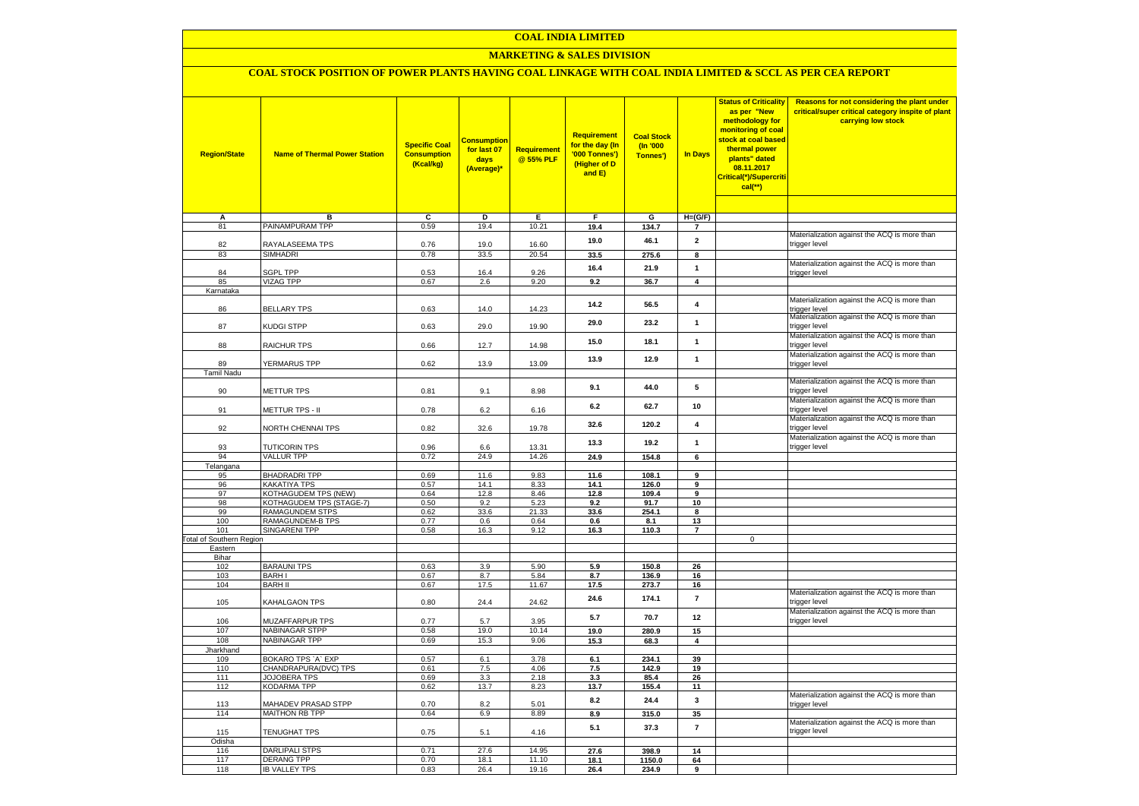## **COAL INDIA LIMITED**

## **MARKETING & SALES DIVISION**

# **COAL STOCK POSITION OF POWER PLANTS HAVING COAL LINKAGE WITH COAL INDIA LIMITED & SCCL AS PER CEA REPORT**

| <b>Region/State</b>                        | <b>Name of Thermal Power Station</b>         | <b>Specific Coal</b><br><b>Consumption</b><br>(Kcal/kg) | <mark>Consumption</mark><br>for last 07<br>days<br>(Average)* | <b>Requirement</b><br>@ 55% PLF | <b>Requirement</b><br>for the day (In<br>'000 Tonnes')<br>(Higher of D<br>and E) | <b>Coal Stock</b><br>(In '000<br>Tonnes') | <b>In Days</b>              | <b>Status of Criticality</b><br>as per "New<br>methodology for<br>monitoring of coal<br>stock at coal based<br>thermal power<br>plants" dated<br>08.11.2017<br>Critical(*)/Supercriti<br>$cal$ (**) | Reasons for not considering the plant under<br>critical/super critical category inspite of plant<br>carrying low stock |
|--------------------------------------------|----------------------------------------------|---------------------------------------------------------|---------------------------------------------------------------|---------------------------------|----------------------------------------------------------------------------------|-------------------------------------------|-----------------------------|-----------------------------------------------------------------------------------------------------------------------------------------------------------------------------------------------------|------------------------------------------------------------------------------------------------------------------------|
|                                            |                                              |                                                         |                                                               |                                 |                                                                                  |                                           |                             |                                                                                                                                                                                                     |                                                                                                                        |
| А<br>81                                    | в<br>PAINAMPURAM TPP                         | c<br>0.59                                               | D<br>19.4                                                     | Е<br>10.21                      | F<br>19.4                                                                        | G<br>134.7                                | $H=(G/F)$<br>$\overline{7}$ |                                                                                                                                                                                                     |                                                                                                                        |
|                                            |                                              |                                                         |                                                               |                                 |                                                                                  |                                           |                             |                                                                                                                                                                                                     | Materialization against the ACQ is more than                                                                           |
| 82                                         | RAYALASEEMA TPS                              | 0.76                                                    | 19.0                                                          | 16.60                           | 19.0                                                                             | 46.1                                      | $\overline{2}$              |                                                                                                                                                                                                     | trigger level                                                                                                          |
| 83                                         | <b>SIMHADRI</b>                              | 0.78                                                    | 33.5                                                          | 20.54                           | 33.5                                                                             | 275.6                                     | 8                           |                                                                                                                                                                                                     |                                                                                                                        |
| 84                                         | <b>SGPL TPP</b>                              | 0.53                                                    | 16.4                                                          | 9.26                            | 16.4                                                                             | 21.9                                      | $\mathbf{1}$                |                                                                                                                                                                                                     | Materialization against the ACQ is more than<br>trigger level                                                          |
| 85                                         | <b>VIZAG TPP</b>                             | 0.67                                                    | 2.6                                                           | 9.20                            | 9.2                                                                              | 36.7                                      | $\overline{4}$              |                                                                                                                                                                                                     |                                                                                                                        |
| Karnataka                                  |                                              |                                                         |                                                               |                                 |                                                                                  |                                           |                             |                                                                                                                                                                                                     |                                                                                                                        |
|                                            |                                              |                                                         |                                                               |                                 | 14.2                                                                             | 56.5                                      | $\overline{\mathbf{4}}$     |                                                                                                                                                                                                     | Materialization against the ACQ is more than                                                                           |
| 86                                         | <b>BELLARY TPS</b>                           | 0.63                                                    | 14.0                                                          | 14.23                           |                                                                                  |                                           |                             |                                                                                                                                                                                                     | trigger level<br>Materialization against the ACQ is more than                                                          |
| 87                                         | <b>KUDGI STPP</b>                            | 0.63                                                    | 29.0                                                          | 19.90                           | 29.0                                                                             | 23.2                                      | $\mathbf{1}$                |                                                                                                                                                                                                     | trigger level                                                                                                          |
|                                            |                                              |                                                         |                                                               |                                 | 15.0                                                                             | 18.1                                      | $\mathbf{1}$                |                                                                                                                                                                                                     | Materialization against the ACQ is more than                                                                           |
| 88                                         | RAICHUR TPS                                  | 0.66                                                    | 12.7                                                          | 14.98                           |                                                                                  |                                           |                             |                                                                                                                                                                                                     | trigger level                                                                                                          |
| 89                                         | YERMARUS TPP                                 | 0.62                                                    | 13.9                                                          | 13.09                           | 13.9                                                                             | 12.9                                      | $\overline{1}$              |                                                                                                                                                                                                     | Materialization against the ACQ is more than                                                                           |
| Tamil Nadu                                 |                                              |                                                         |                                                               |                                 |                                                                                  |                                           |                             |                                                                                                                                                                                                     | trigger level                                                                                                          |
|                                            |                                              |                                                         |                                                               |                                 |                                                                                  |                                           |                             |                                                                                                                                                                                                     | Materialization against the ACQ is more than                                                                           |
| 90                                         | METTUR TPS                                   | 0.81                                                    | 9.1                                                           | 8.98                            | 9.1                                                                              | 44.0                                      | 5                           |                                                                                                                                                                                                     | trigger level                                                                                                          |
|                                            |                                              |                                                         |                                                               |                                 | 6.2                                                                              | 62.7                                      | 10                          |                                                                                                                                                                                                     | Materialization against the ACQ is more than                                                                           |
| 91                                         | METTUR TPS - II                              | 0.78                                                    | 6.2                                                           | 6.16                            |                                                                                  |                                           |                             |                                                                                                                                                                                                     | trigger level<br>Materialization against the ACQ is more than                                                          |
| 92                                         | NORTH CHENNAI TPS                            | 0.82                                                    | 32.6                                                          | 19.78                           | 32.6                                                                             | 120.2                                     | 4                           |                                                                                                                                                                                                     | trigger level                                                                                                          |
|                                            |                                              |                                                         |                                                               |                                 |                                                                                  |                                           |                             |                                                                                                                                                                                                     | Materialization against the ACQ is more than                                                                           |
| 93                                         | <b>TUTICORIN TPS</b>                         | 0.96                                                    | 6.6                                                           | 13.31                           | 13.3                                                                             | 19.2                                      | $\mathbf{1}$                |                                                                                                                                                                                                     | trigger level                                                                                                          |
| 94                                         | <b>VALLUR TPP</b>                            | 0.72                                                    | 24.9                                                          | 14.26                           | 24.9                                                                             | 154.8                                     | 6                           |                                                                                                                                                                                                     |                                                                                                                        |
| Telangana                                  |                                              |                                                         |                                                               |                                 |                                                                                  |                                           |                             |                                                                                                                                                                                                     |                                                                                                                        |
| 95<br>96                                   | <b>BHADRADRI TPP</b><br>KAKATIYA TPS         | 0.69<br>0.57                                            | 11.6<br>14.1                                                  | 9.83<br>8.33                    | 11.6<br>14.1                                                                     | 108.1<br>126.0                            | 9<br>9                      |                                                                                                                                                                                                     |                                                                                                                        |
| 97                                         | KOTHAGUDEM TPS (NEW)                         | 0.64                                                    | 12.8                                                          | 8.46                            | 12.8                                                                             | 109.4                                     | 9                           |                                                                                                                                                                                                     |                                                                                                                        |
| 98                                         | KOTHAGUDEM TPS (STAGE-7)                     | 0.50                                                    | 9.2                                                           | 5.23                            | 9.2                                                                              | 91.7                                      | 10                          |                                                                                                                                                                                                     |                                                                                                                        |
| 99                                         | RAMAGUNDEM STPS                              | 0.62                                                    | 33.6                                                          | 21.33                           | 33.6                                                                             | 254.1                                     | 8                           |                                                                                                                                                                                                     |                                                                                                                        |
| 100                                        | RAMAGUNDEM-B TPS                             | 0.77                                                    | 0.6                                                           | 0.64                            | 0.6                                                                              | 8.1                                       | 13                          |                                                                                                                                                                                                     |                                                                                                                        |
| 101                                        | <b>SINGARENI TPP</b>                         | 0.58                                                    | 16.3                                                          | 9.12                            | 16.3                                                                             | 110.3                                     | $\overline{7}$              |                                                                                                                                                                                                     |                                                                                                                        |
| <b>Total of Southern Region</b><br>Eastern |                                              |                                                         |                                                               |                                 |                                                                                  |                                           |                             | $\mathsf 0$                                                                                                                                                                                         |                                                                                                                        |
| Bihar                                      |                                              |                                                         |                                                               |                                 |                                                                                  |                                           |                             |                                                                                                                                                                                                     |                                                                                                                        |
| 102                                        | <b>BARAUNI TPS</b>                           | 0.63                                                    | 3.9                                                           | 5.90                            | 5.9                                                                              | 150.8                                     | 26                          |                                                                                                                                                                                                     |                                                                                                                        |
| 103                                        | <b>BARHI</b>                                 | 0.67                                                    | 8.7                                                           | 5.84                            | 8.7                                                                              | 136.9                                     | 16                          |                                                                                                                                                                                                     |                                                                                                                        |
| 104                                        | <b>BARH II</b>                               | 0.67                                                    | 17.5                                                          | 11.67                           | 17.5                                                                             | 273.7                                     | 16                          |                                                                                                                                                                                                     |                                                                                                                        |
| 105                                        | KAHALGAON TPS                                | 0.80                                                    | 24.4                                                          | 24.62                           | 24.6                                                                             | 174.1                                     | $\overline{7}$              |                                                                                                                                                                                                     | Materialization against the ACQ is more than<br>trigger level                                                          |
|                                            |                                              |                                                         |                                                               |                                 |                                                                                  |                                           |                             |                                                                                                                                                                                                     | Materialization against the ACQ is more than                                                                           |
| 106                                        | MUZAFFARPUR TPS                              | 0.77                                                    | 5.7                                                           | 3.95                            | 5.7                                                                              | 70.7                                      | 12                          |                                                                                                                                                                                                     | trigger level                                                                                                          |
| 107                                        | NABINAGAR STPP                               | 0.58                                                    | 19.0                                                          | 10.14                           | 19.0                                                                             | 280.9                                     | 15                          |                                                                                                                                                                                                     |                                                                                                                        |
| 108                                        | <b>NABINAGAR TPP</b>                         | 0.69                                                    | 15.3                                                          | 9.06                            | 15.3                                                                             | 68.3                                      | $\overline{4}$              |                                                                                                                                                                                                     |                                                                                                                        |
| Jharkhand                                  | BOKARO TPS `A` EXP                           | 0.57                                                    | 6.1                                                           | 3.78                            |                                                                                  |                                           |                             |                                                                                                                                                                                                     |                                                                                                                        |
| 109<br>110                                 | CHANDRAPURA(DVC) TPS                         | 0.61                                                    | 7.5                                                           | 4.06                            | 6.1<br>7.5                                                                       | 234.1<br>142.9                            | 39<br>19                    |                                                                                                                                                                                                     |                                                                                                                        |
| 111                                        | JOJOBERA TPS                                 | 0.69                                                    | 3.3                                                           | 2.18                            | 3.3                                                                              | 85.4                                      | 26                          |                                                                                                                                                                                                     |                                                                                                                        |
| 112                                        | KODARMA TPP                                  | 0.62                                                    | 13.7                                                          | 8.23                            | 13.7                                                                             | 155.4                                     | 11                          |                                                                                                                                                                                                     |                                                                                                                        |
|                                            |                                              |                                                         |                                                               |                                 | 8.2                                                                              | 24.4                                      | 3                           |                                                                                                                                                                                                     | Materialization against the ACQ is more than                                                                           |
| 113<br>114                                 | MAHADEV PRASAD STPP<br><b>MAITHON RB TPP</b> | 0.70<br>0.64                                            | 8.2<br>6.9                                                    | 5.01<br>8.89                    | 8.9                                                                              | 315.0                                     | 35                          |                                                                                                                                                                                                     | trigger level                                                                                                          |
|                                            |                                              |                                                         |                                                               |                                 |                                                                                  |                                           |                             |                                                                                                                                                                                                     | Materialization against the ACQ is more than                                                                           |
| 115                                        | <b>TENUGHAT TPS</b>                          | 0.75                                                    | 5.1                                                           | 4.16                            | 5.1                                                                              | 37.3                                      | $\overline{7}$              |                                                                                                                                                                                                     | trigger level                                                                                                          |
| Odisha                                     |                                              |                                                         |                                                               |                                 |                                                                                  |                                           |                             |                                                                                                                                                                                                     |                                                                                                                        |
| 116                                        | <b>DARLIPALI STPS</b>                        | 0.71                                                    | 27.6                                                          | 14.95                           | 27.6                                                                             | 398.9                                     | 14                          |                                                                                                                                                                                                     |                                                                                                                        |
| 117                                        | <b>DERANG TPP</b>                            | 0.70                                                    | 18.1                                                          | 11.10                           | 18.1                                                                             | 1150.0                                    | 64                          |                                                                                                                                                                                                     |                                                                                                                        |
| 118                                        | <b>IB VALLEY TPS</b>                         | 0.83                                                    | 26.4                                                          | 19.16                           | 26.4                                                                             | 234.9                                     | 9                           |                                                                                                                                                                                                     |                                                                                                                        |